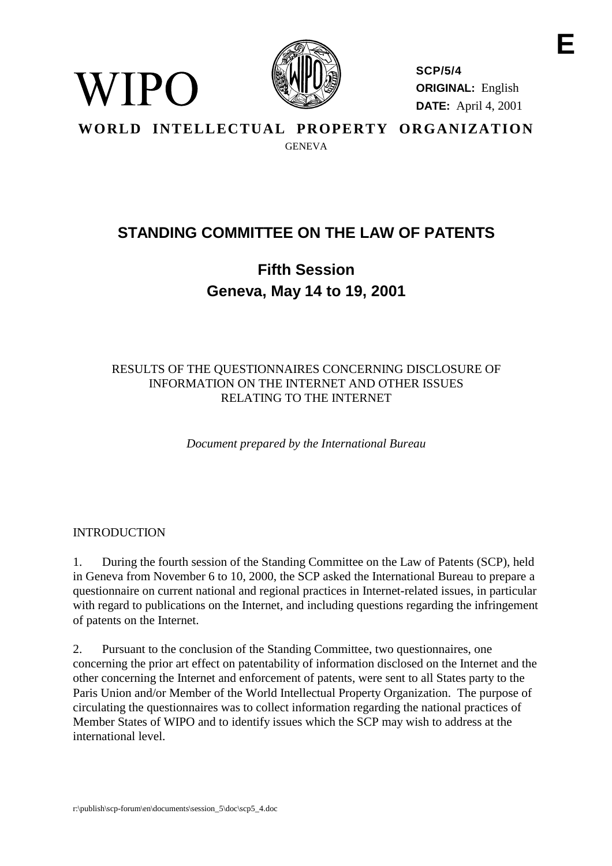

**SCP/5/4 ORIGINAL:** English **DATE:** April 4, 2001

**WORLD INTELLECTUAL PROPERTY ORGANIZATION GENEVA** 

## **STANDING COMMITTEE ON THE LAW OF PATENTS**

## **Fifth Session Geneva, May 14 to 19, 2001**

## RESULTS OF THE QUESTIONNAIRES CONCERNING DISCLOSURE OF INFORMATION ON THE INTERNET AND OTHER ISSUES RELATING TO THE INTERNET

*Document prepared by the International Bureau*

## INTRODUCTION

WIPO

1. During the fourth session of the Standing Committee on the Law of Patents (SCP), held in Geneva from November 6 to 10, 2000, the SCP asked the International Bureau to prepare a questionnaire on current national and regional practices in Internet-related issues, in particular with regard to publications on the Internet, and including questions regarding the infringement of patents on the Internet.

2. Pursuant to the conclusion of the Standing Committee, two questionnaires, one concerning the prior art effect on patentability of information disclosed on the Internet and the other concerning the Internet and enforcement of patents, were sent to all States party to the Paris Union and/or Member of the World Intellectual Property Organization. The purpose of circulating the questionnaires was to collect information regarding the national practices of Member States of WIPO and to identify issues which the SCP may wish to address at the international level.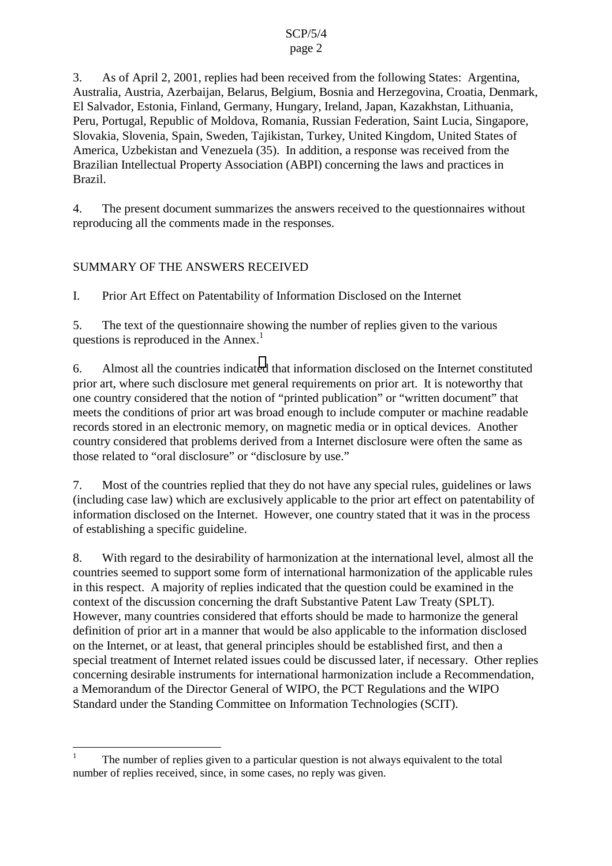## page 2

3. As of April 2, 2001, replies had been received from the following States: Argentina, Australia, Austria, Azerbaijan, Belarus, Belgium, Bosnia and Herzegovina, Croatia, Denmark, El Salvador, Estonia, Finland, Germany, Hungary, Ireland, Japan, Kazakhstan, Lithuania, Peru, Portugal, Republic of Moldova, Romania, Russian Federation, Saint Lucia, Singapore, Slovakia, Slovenia, Spain, Sweden, Tajikistan, Turkey, United Kingdom, United States of America, Uzbekistan and Venezuela (35). In addition, a response was received from the Brazilian Intellectual Property Association (ABPI) concerning the laws and practices in Brazil.

4. The present document summarizes the answers received to the questionnaires without reproducing all the comments made in the responses.

## SUMMARY OF THE ANSWERS RECEIVED

 $\overline{a}$ 

I. Prior Art Effect on Patentability of Information Disclosed on the Internet

5. The text of the questionnaire showing the number of replies given to the various questions is reproduced in the Annex.<sup>1</sup>

6. Almost all the countries indicated that information disclosed on the Internet constituted prior art, where such disclosure met general requirements on prior art. It is noteworthy that one country considered that the notion of "printed publication" or "written document" that meets the conditions of prior art was broad enough to include computer or machine readable records stored in an electronic memory, on magnetic media or in optical devices. Another country considered that problems derived from a Internet disclosure were often the same as those related to "oral disclosure" or "disclosure by use."

7. Most of the countries replied that they do not have any special rules, guidelines or laws (including case law) which are exclusively applicable to the prior art effect on patentability of information disclosed on the Internet. However, one country stated that it was in the process of establishing a specific guideline.

8. With regard to the desirability of harmonization at the international level, almost all the countries seemed to support some form of international harmonization of the applicable rules in this respect. A majority of replies indicated that the question could be examined in the context of the discussion concerning the draft Substantive Patent Law Treaty (SPLT). However, many countries considered that efforts should be made to harmonize the general definition of prior art in a manner that would be also applicable to the information disclosed on the Internet, or at least, that general principles should be established first, and then a special treatment of Internet related issues could be discussed later, if necessary. Other replies concerning desirable instruments for international harmonization include a Recommendation, a Memorandum of the Director General of WIPO, the PCT Regulations and the WIPO Standard under the Standing Committee on Information Technologies (SCIT).

<sup>1</sup> The number of replies given to a particular question is not always equivalent to the total number of replies received, since, in some cases, no reply was given.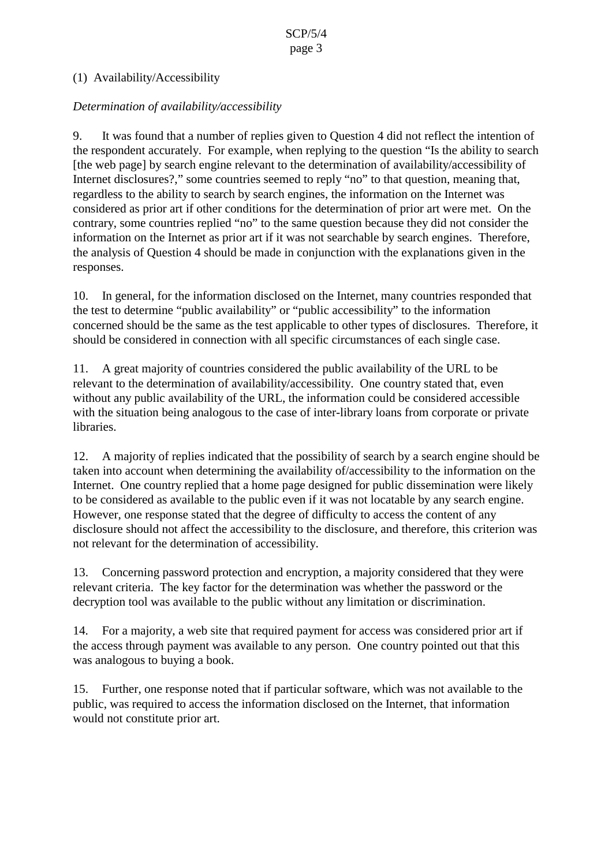## (1) Availability/Accessibility

## *Determination of availability/accessibility*

9. It was found that a number of replies given to Question 4 did not reflect the intention of the respondent accurately. For example, when replying to the question "Is the ability to search [the web page] by search engine relevant to the determination of availability/accessibility of Internet disclosures?," some countries seemed to reply "no" to that question, meaning that, regardless to the ability to search by search engines, the information on the Internet was considered as prior art if other conditions for the determination of prior art were met. On the contrary, some countries replied "no" to the same question because they did not consider the information on the Internet as prior art if it was not searchable by search engines. Therefore, the analysis of Question 4 should be made in conjunction with the explanations given in the responses.

10. In general, for the information disclosed on the Internet, many countries responded that the test to determine "public availability" or "public accessibility" to the information concerned should be the same as the test applicable to other types of disclosures. Therefore, it should be considered in connection with all specific circumstances of each single case.

11. A great majority of countries considered the public availability of the URL to be relevant to the determination of availability/accessibility. One country stated that, even without any public availability of the URL, the information could be considered accessible with the situation being analogous to the case of inter-library loans from corporate or private libraries.

12. A majority of replies indicated that the possibility of search by a search engine should be taken into account when determining the availability of/accessibility to the information on the Internet. One country replied that a home page designed for public dissemination were likely to be considered as available to the public even if it was not locatable by any search engine. However, one response stated that the degree of difficulty to access the content of any disclosure should not affect the accessibility to the disclosure, and therefore, this criterion was not relevant for the determination of accessibility.

13. Concerning password protection and encryption, a majority considered that they were relevant criteria. The key factor for the determination was whether the password or the decryption tool was available to the public without any limitation or discrimination.

14. For a majority, a web site that required payment for access was considered prior art if the access through payment was available to any person. One country pointed out that this was analogous to buying a book.

15. Further, one response noted that if particular software, which was not available to the public, was required to access the information disclosed on the Internet, that information would not constitute prior art.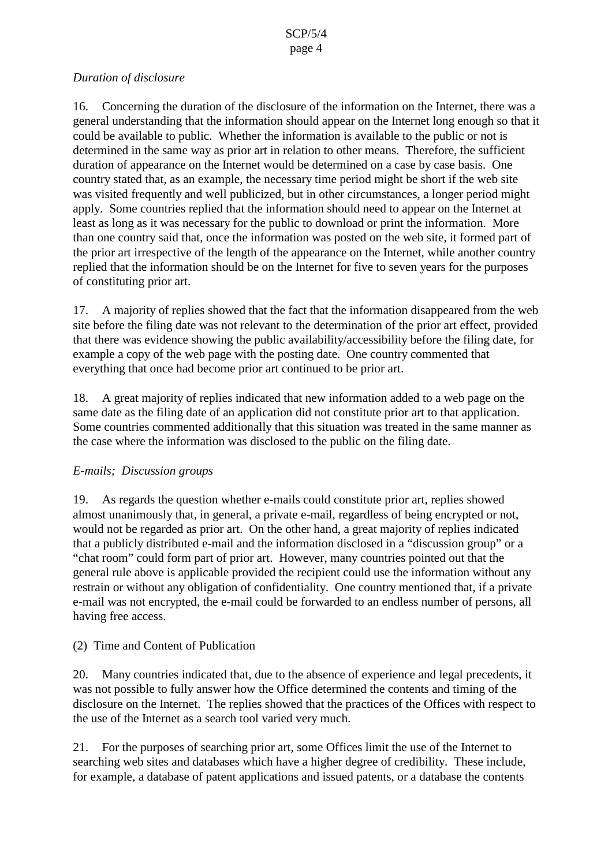#### SCP/5/4 page 4

## *Duration of disclosure*

16. Concerning the duration of the disclosure of the information on the Internet, there was a general understanding that the information should appear on the Internet long enough so that it could be available to public. Whether the information is available to the public or not is determined in the same way as prior art in relation to other means. Therefore, the sufficient duration of appearance on the Internet would be determined on a case by case basis. One country stated that, as an example, the necessary time period might be short if the web site was visited frequently and well publicized, but in other circumstances, a longer period might apply. Some countries replied that the information should need to appear on the Internet at least as long as it was necessary for the public to download or print the information. More than one country said that, once the information was posted on the web site, it formed part of the prior art irrespective of the length of the appearance on the Internet, while another country replied that the information should be on the Internet for five to seven years for the purposes of constituting prior art.

17. A majority of replies showed that the fact that the information disappeared from the web site before the filing date was not relevant to the determination of the prior art effect, provided that there was evidence showing the public availability/accessibility before the filing date, for example a copy of the web page with the posting date. One country commented that everything that once had become prior art continued to be prior art.

18. A great majority of replies indicated that new information added to a web page on the same date as the filing date of an application did not constitute prior art to that application. Some countries commented additionally that this situation was treated in the same manner as the case where the information was disclosed to the public on the filing date.

## *E-mails; Discussion groups*

19. As regards the question whether e-mails could constitute prior art, replies showed almost unanimously that, in general, a private e-mail, regardless of being encrypted or not, would not be regarded as prior art. On the other hand, a great majority of replies indicated that a publicly distributed e-mail and the information disclosed in a "discussion group" or a "chat room" could form part of prior art. However, many countries pointed out that the general rule above is applicable provided the recipient could use the information without any restrain or without any obligation of confidentiality. One country mentioned that, if a private e-mail was not encrypted, the e-mail could be forwarded to an endless number of persons, all having free access.

## (2) Time and Content of Publication

20. Many countries indicated that, due to the absence of experience and legal precedents, it was not possible to fully answer how the Office determined the contents and timing of the disclosure on the Internet. The replies showed that the practices of the Offices with respect to the use of the Internet as a search tool varied very much.

21. For the purposes of searching prior art, some Offices limit the use of the Internet to searching web sites and databases which have a higher degree of credibility. These include, for example, a database of patent applications and issued patents, or a database the contents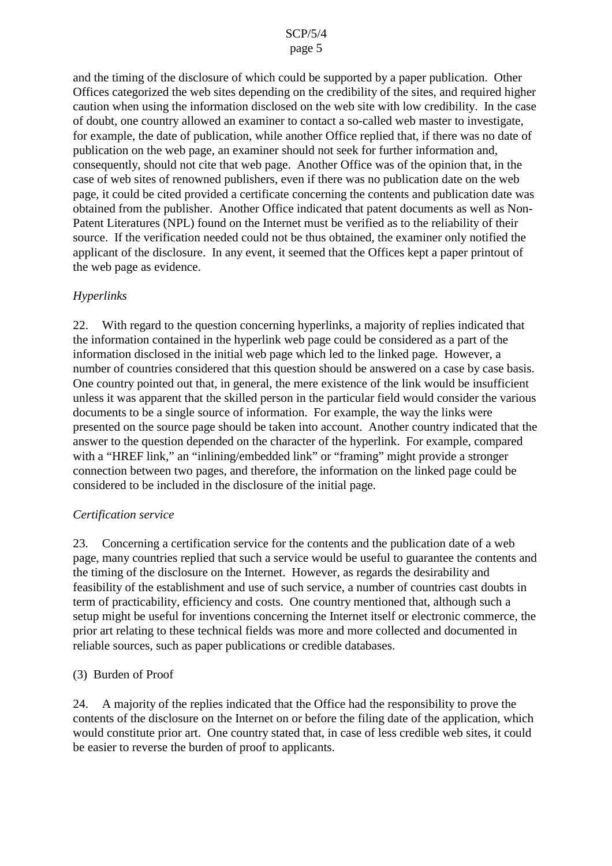#### page 5

and the timing of the disclosure of which could be supported by a paper publication. Other Offices categorized the web sites depending on the credibility of the sites, and required higher caution when using the information disclosed on the web site with low credibility. In the case of doubt, one country allowed an examiner to contact a so-called web master to investigate, for example, the date of publication, while another Office replied that, if there was no date of publication on the web page, an examiner should not seek for further information and, consequently, should not cite that web page. Another Office was of the opinion that, in the case of web sites of renowned publishers, even if there was no publication date on the web page, it could be cited provided a certificate concerning the contents and publication date was obtained from the publisher. Another Office indicated that patent documents as well as Non-Patent Literatures (NPL) found on the Internet must be verified as to the reliability of their source. If the verification needed could not be thus obtained, the examiner only notified the applicant of the disclosure. In any event, it seemed that the Offices kept a paper printout of the web page as evidence.

## *Hyperlinks*

22. With regard to the question concerning hyperlinks, a majority of replies indicated that the information contained in the hyperlink web page could be considered as a part of the information disclosed in the initial web page which led to the linked page. However, a number of countries considered that this question should be answered on a case by case basis. One country pointed out that, in general, the mere existence of the link would be insufficient unless it was apparent that the skilled person in the particular field would consider the various documents to be a single source of information. For example, the way the links were presented on the source page should be taken into account. Another country indicated that the answer to the question depended on the character of the hyperlink. For example, compared with a "HREF link," an "inlining/embedded link" or "framing" might provide a stronger connection between two pages, and therefore, the information on the linked page could be considered to be included in the disclosure of the initial page.

## *Certification service*

23. Concerning a certification service for the contents and the publication date of a web page, many countries replied that such a service would be useful to guarantee the contents and the timing of the disclosure on the Internet. However, as regards the desirability and feasibility of the establishment and use of such service, a number of countries cast doubts in term of practicability, efficiency and costs. One country mentioned that, although such a setup might be useful for inventions concerning the Internet itself or electronic commerce, the prior art relating to these technical fields was more and more collected and documented in reliable sources, such as paper publications or credible databases.

## (3) Burden of Proof

24. A majority of the replies indicated that the Office had the responsibility to prove the contents of the disclosure on the Internet on or before the filing date of the application, which would constitute prior art. One country stated that, in case of less credible web sites, it could be easier to reverse the burden of proof to applicants.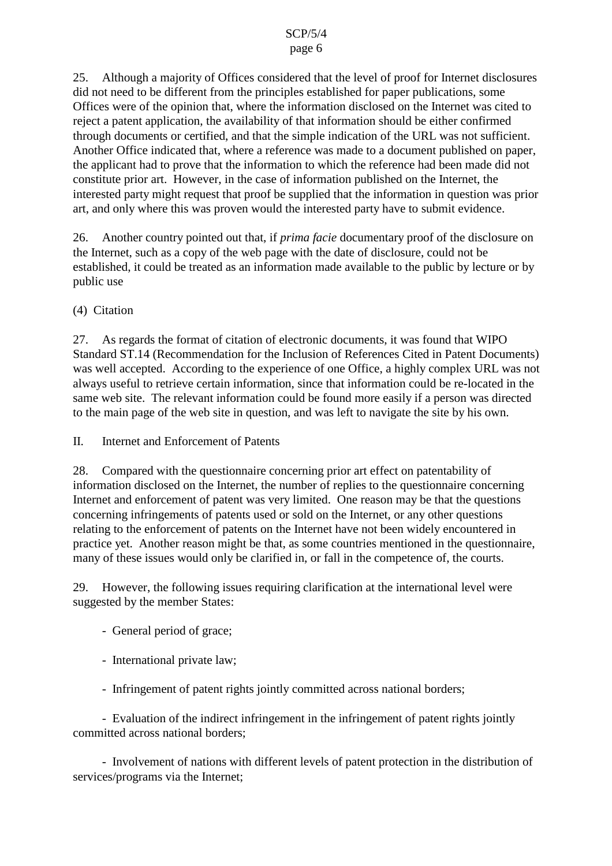## page 6

25. Although a majority of Offices considered that the level of proof for Internet disclosures did not need to be different from the principles established for paper publications, some Offices were of the opinion that, where the information disclosed on the Internet was cited to reject a patent application, the availability of that information should be either confirmed through documents or certified, and that the simple indication of the URL was not sufficient. Another Office indicated that, where a reference was made to a document published on paper, the applicant had to prove that the information to which the reference had been made did not constitute prior art. However, in the case of information published on the Internet, the interested party might request that proof be supplied that the information in question was prior art, and only where this was proven would the interested party have to submit evidence.

26. Another country pointed out that, if *prima facie* documentary proof of the disclosure on the Internet, such as a copy of the web page with the date of disclosure, could not be established, it could be treated as an information made available to the public by lecture or by public use

(4) Citation

27. As regards the format of citation of electronic documents, it was found that WIPO Standard ST.14 (Recommendation for the Inclusion of References Cited in Patent Documents) was well accepted. According to the experience of one Office, a highly complex URL was not always useful to retrieve certain information, since that information could be re-located in the same web site. The relevant information could be found more easily if a person was directed to the main page of the web site in question, and was left to navigate the site by his own.

II. Internet and Enforcement of Patents

28. Compared with the questionnaire concerning prior art effect on patentability of information disclosed on the Internet, the number of replies to the questionnaire concerning Internet and enforcement of patent was very limited. One reason may be that the questions concerning infringements of patents used or sold on the Internet, or any other questions relating to the enforcement of patents on the Internet have not been widely encountered in practice yet. Another reason might be that, as some countries mentioned in the questionnaire, many of these issues would only be clarified in, or fall in the competence of, the courts.

29. However, the following issues requiring clarification at the international level were suggested by the member States:

- General period of grace;
- International private law;
- Infringement of patent rights jointly committed across national borders;

- Evaluation of the indirect infringement in the infringement of patent rights jointly committed across national borders;

- Involvement of nations with different levels of patent protection in the distribution of services/programs via the Internet;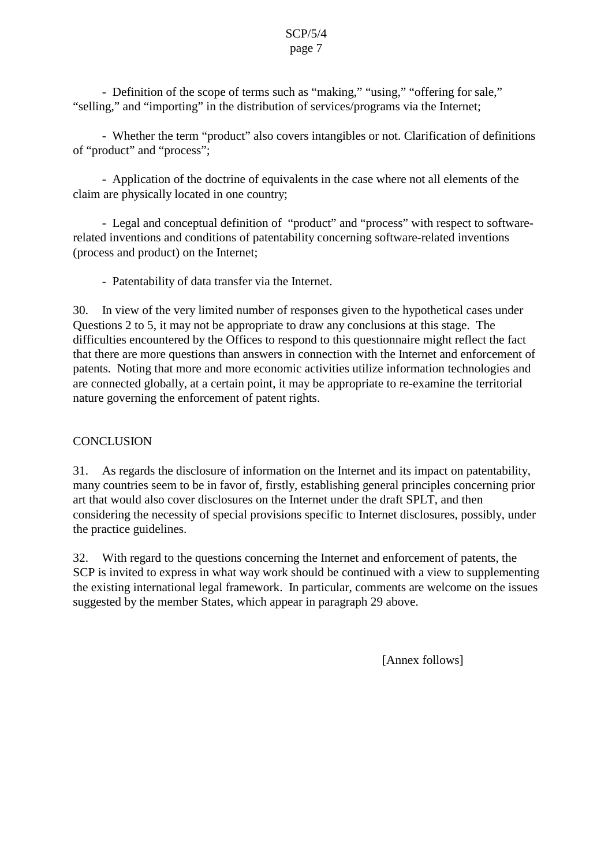#### SCP/5/4 page 7

- Definition of the scope of terms such as "making," "using," "offering for sale," "selling," and "importing" in the distribution of services/programs via the Internet;

- Whether the term "product" also covers intangibles or not. Clarification of definitions of "product" and "process";

- Application of the doctrine of equivalents in the case where not all elements of the claim are physically located in one country;

- Legal and conceptual definition of "product" and "process" with respect to softwarerelated inventions and conditions of patentability concerning software-related inventions (process and product) on the Internet;

- Patentability of data transfer via the Internet.

30. In view of the very limited number of responses given to the hypothetical cases under Questions 2 to 5, it may not be appropriate to draw any conclusions at this stage. The difficulties encountered by the Offices to respond to this questionnaire might reflect the fact that there are more questions than answers in connection with the Internet and enforcement of patents. Noting that more and more economic activities utilize information technologies and are connected globally, at a certain point, it may be appropriate to re-examine the territorial nature governing the enforcement of patent rights.

## **CONCLUSION**

31. As regards the disclosure of information on the Internet and its impact on patentability, many countries seem to be in favor of, firstly, establishing general principles concerning prior art that would also cover disclosures on the Internet under the draft SPLT, and then considering the necessity of special provisions specific to Internet disclosures, possibly, under the practice guidelines.

32. With regard to the questions concerning the Internet and enforcement of patents, the SCP is invited to express in what way work should be continued with a view to supplementing the existing international legal framework. In particular, comments are welcome on the issues suggested by the member States, which appear in paragraph 29 above.

[Annex follows]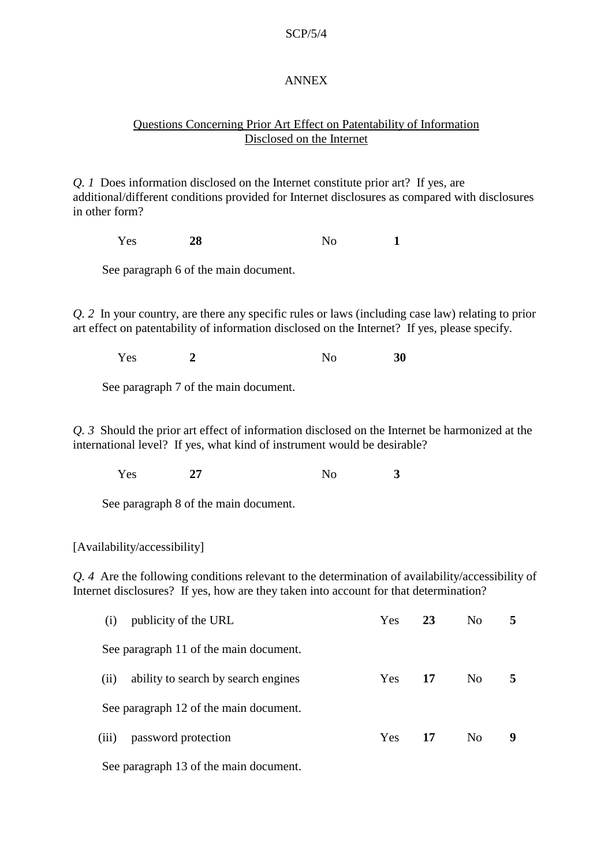#### ANNEX

## Questions Concerning Prior Art Effect on Patentability of Information Disclosed on the Internet

*Q. 1* Does information disclosed on the Internet constitute prior art? If yes, are additional/different conditions provided for Internet disclosures as compared with disclosures in other form?

Yes **28** No **1**

See paragraph 6 of the main document.

*Q. 2* In your country, are there any specific rules or laws (including case law) relating to prior art effect on patentability of information disclosed on the Internet? If yes, please specify.

Yes **2** No **30**

See paragraph 7 of the main document.

*Q. 3* Should the prior art effect of information disclosed on the Internet be harmonized at the international level? If yes, what kind of instrument would be desirable?

Yes **27** No **3**

See paragraph 8 of the main document.

[Availability/accessibility]

*Q. 4* Are the following conditions relevant to the determination of availability/accessibility of Internet disclosures? If yes, how are they taken into account for that determination?

| (i)                                    | publicity of the URL                | Yes        | 23 | No             |   |
|----------------------------------------|-------------------------------------|------------|----|----------------|---|
| See paragraph 11 of the main document. |                                     |            |    |                |   |
| (ii)                                   | ability to search by search engines | Yes        | 17 | N <sub>0</sub> | 5 |
| See paragraph 12 of the main document. |                                     |            |    |                |   |
| (iii)                                  | password protection                 | <b>Yes</b> | 17 | N <sub>0</sub> | 9 |
|                                        |                                     |            |    |                |   |

See paragraph 13 of the main document.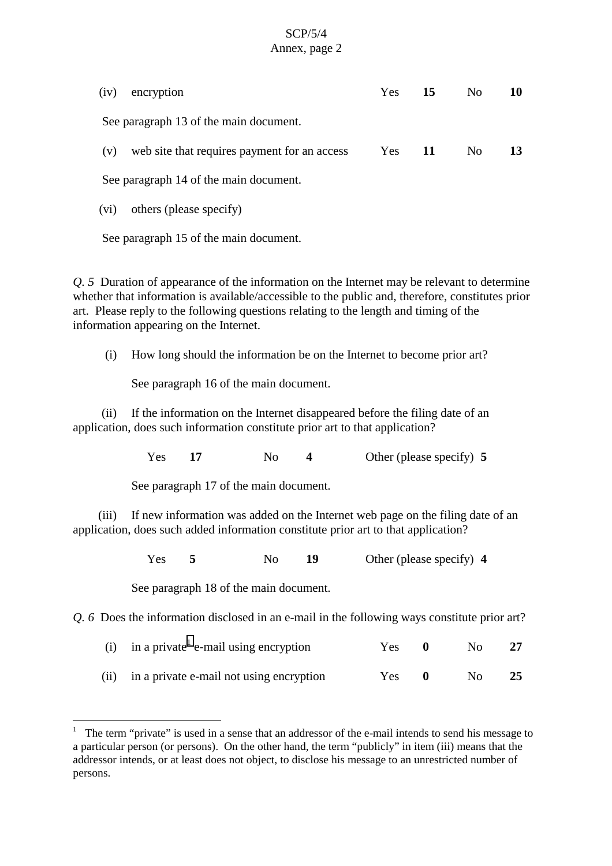## SCP/5/4 Annex, page 2

| (iv)                                   | encryption                                   |  | $Yes$ 15 | No.            | 10 |
|----------------------------------------|----------------------------------------------|--|----------|----------------|----|
| See paragraph 13 of the main document. |                                              |  |          |                |    |
| (V)                                    | web site that requires payment for an access |  | $Yes$ 11 | N <sub>0</sub> | 13 |
| See paragraph 14 of the main document. |                                              |  |          |                |    |

(vi) others (please specify)

See paragraph 15 of the main document.

*Q. 5* Duration of appearance of the information on the Internet may be relevant to determine whether that information is available/accessible to the public and, therefore, constitutes prior art. Please reply to the following questions relating to the length and timing of the information appearing on the Internet.

(i) How long should the information be on the Internet to become prior art?

See paragraph 16 of the main document.

(ii) If the information on the Internet disappeared before the filing date of an application, does such information constitute prior art to that application?

Yes **17** No **4** Other (please specify) **5** 

See paragraph 17 of the main document.

(iii) If new information was added on the Internet web page on the filing date of an application, does such added information constitute prior art to that application?

Yes **5** No **19** Other (please specify) 4

See paragraph 18 of the main document.

 $\overline{a}$ 

*Q. 6* Does the information disclosed in an e-mail in the following ways constitute prior art?

| (i) in a private $^1$ e-mail using encryption | Yes 0 | No. |    |
|-----------------------------------------------|-------|-----|----|
| (ii) in a private e-mail not using encryption | Yes 0 | No. | 25 |

<sup>1</sup> The term "private" is used in a sense that an addressor of the e-mail intends to send his message to a particular person (or persons). On the other hand, the term "publicly" in item (iii) means that the addressor intends, or at least does not object, to disclose his message to an unrestricted number of persons.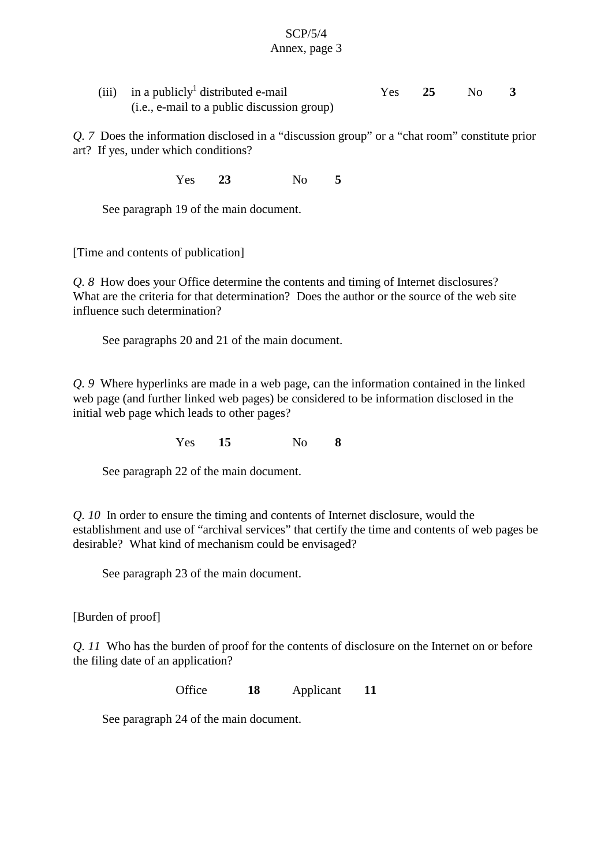#### SCP/5/4 Annex, page 3

| (iii) in a publicly distributed e-mail      |  | Yes 25 No |  |
|---------------------------------------------|--|-----------|--|
| (i.e., e-mail to a public discussion group) |  |           |  |

*Q. 7* Does the information disclosed in a "discussion group" or a "chat room" constitute prior art? If yes, under which conditions?

Yes **23** No **5**

See paragraph 19 of the main document.

[Time and contents of publication]

*Q. 8* How does your Office determine the contents and timing of Internet disclosures? What are the criteria for that determination? Does the author or the source of the web site influence such determination?

See paragraphs 20 and 21 of the main document.

*Q. 9* Where hyperlinks are made in a web page, can the information contained in the linked web page (and further linked web pages) be considered to be information disclosed in the initial web page which leads to other pages?

Yes **15** No **8**

See paragraph 22 of the main document.

*Q. 10* In order to ensure the timing and contents of Internet disclosure, would the establishment and use of "archival services" that certify the time and contents of web pages be desirable? What kind of mechanism could be envisaged?

See paragraph 23 of the main document.

[Burden of proof]

*Q. 11* Who has the burden of proof for the contents of disclosure on the Internet on or before the filing date of an application?

Office **18** Applicant **11**

See paragraph 24 of the main document.